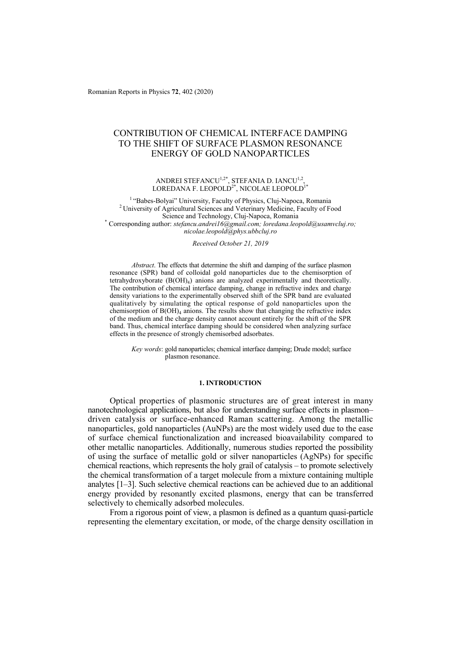Romanian Reports in Physics **72**, 402 (2020)

# CONTRIBUTION OF CHEMICAL INTERFACE DAMPING TO THE SHIFT OF SURFACE PLASMON RESONANCE ENERGY OF GOLD NANOPARTICLES

## ANDREI STEFANCU $^{1,2^*}$ , STEFANIA D. IANCU $^{1,2}$ , LOREDANA F. LEOPOLD<sup>2\*</sup>, NICOLAE LEOPOLD<sup>1\*</sup>

1 "Babes-Bolyai" University, Faculty of Physics, Cluj-Napoca, Romania 2 University of Agricultural Sciences and Veterinary Medicine, Faculty of Food Science and Technology, Cluj-Napoca, Romania \* Corresponding author: *stefancu.andrei16@gmail.com; loredana.leopold@usamvcluj.ro; nicolae.leopold@phys.ubbcluj.ro* 

#### *Received October 21, 2019*

*Abstract*. The effects that determine the shift and damping of the surface plasmon resonance (SPR) band of colloidal gold nanoparticles due to the chemisorption of tetrahydroxyborate  $(B(OH)_4)$  anions are analyzed experimentally and theoretically. The contribution of chemical interface damping, change in refractive index and charge density variations to the experimentally observed shift of the SPR band are evaluated qualitatively by simulating the optical response of gold nanoparticles upon the chemisorption of  $B(OH)_{4}$  anions. The results show that changing the refractive index of the medium and the charge density cannot account entirely for the shift of the SPR band. Thus, chemical interface damping should be considered when analyzing surface effects in the presence of strongly chemisorbed adsorbates.

*Key words*: gold nanoparticles; chemical interface damping; Drude model; surface plasmon resonance.

#### **1. INTRODUCTION**

Optical properties of plasmonic structures are of great interest in many nanotechnological applications, but also for understanding surface effects in plasmon– driven catalysis or surface-enhanced Raman scattering. Among the metallic nanoparticles, gold nanoparticles (AuNPs) are the most widely used due to the ease of surface chemical functionalization and increased bioavailability compared to other metallic nanoparticles. Additionally, numerous studies reported the possibility of using the surface of metallic gold or silver nanoparticles (AgNPs) for specific chemical reactions, which represents the holy grail of catalysis – to promote selectively the chemical transformation of a target molecule from a mixture containing multiple analytes [1–3]. Such selective chemical reactions can be achieved due to an additional energy provided by resonantly excited plasmons, energy that can be transferred selectively to chemically adsorbed molecules.

From a rigorous point of view, a plasmon is defined as a quantum quasi-particle representing the elementary excitation, or mode, of the charge density oscillation in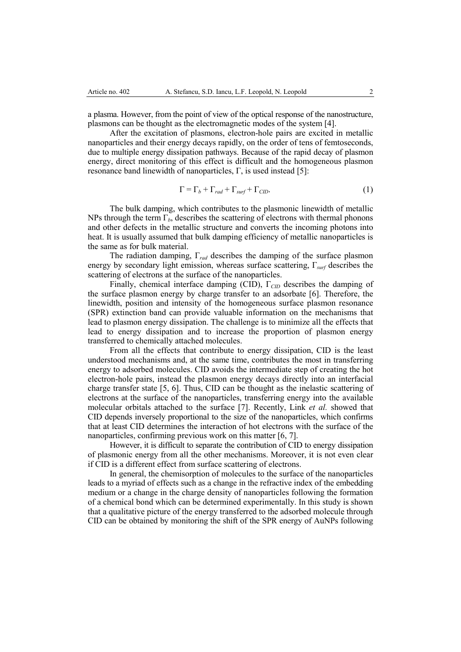a plasma. However, from the point of view of the optical response of the nanostructure, plasmons can be thought as the electromagnetic modes of the system [4].

After the excitation of plasmons, electron-hole pairs are excited in metallic nanoparticles and their energy decays rapidly, on the order of tens of femtoseconds, due to multiple energy dissipation pathways. Because of the rapid decay of plasmon energy, direct monitoring of this effect is difficult and the homogeneous plasmon resonance band linewidth of nanoparticles,  $\Gamma$ , is used instead [5]:

$$
\Gamma = \Gamma_b + \Gamma_{rad} + \Gamma_{surf} + \Gamma_{CID}.
$$
 (1)

The bulk damping, which contributes to the plasmonic linewidth of metallic NPs through the term  $\Gamma_b$ , describes the scattering of electrons with thermal phonons and other defects in the metallic structure and converts the incoming photons into heat. It is usually assumed that bulk damping efficiency of metallic nanoparticles is the same as for bulk material.

The radiation damping, Γ*rad* describes the damping of the surface plasmon energy by secondary light emission, whereas surface scattering, Γ*surf* describes the scattering of electrons at the surface of the nanoparticles.

Finally, chemical interface damping (CID), Γ*CID* describes the damping of the surface plasmon energy by charge transfer to an adsorbate [6]. Therefore, the linewidth, position and intensity of the homogeneous surface plasmon resonance (SPR) extinction band can provide valuable information on the mechanisms that lead to plasmon energy dissipation. The challenge is to minimize all the effects that lead to energy dissipation and to increase the proportion of plasmon energy transferred to chemically attached molecules.

From all the effects that contribute to energy dissipation, CID is the least understood mechanisms and, at the same time, contributes the most in transferring energy to adsorbed molecules. CID avoids the intermediate step of creating the hot electron-hole pairs, instead the plasmon energy decays directly into an interfacial charge transfer state [5, 6]. Thus, CID can be thought as the inelastic scattering of electrons at the surface of the nanoparticles, transferring energy into the available molecular orbitals attached to the surface [7]. Recently, Link *et al.* showed that CID depends inversely proportional to the size of the nanoparticles, which confirms that at least CID determines the interaction of hot electrons with the surface of the nanoparticles, confirming previous work on this matter [6, 7].

However, it is difficult to separate the contribution of CID to energy dissipation of plasmonic energy from all the other mechanisms. Moreover, it is not even clear if CID is a different effect from surface scattering of electrons.

In general, the chemisorption of molecules to the surface of the nanoparticles leads to a myriad of effects such as a change in the refractive index of the embedding medium or a change in the charge density of nanoparticles following the formation of a chemical bond which can be determined experimentally. In this study is shown that a qualitative picture of the energy transferred to the adsorbed molecule through CID can be obtained by monitoring the shift of the SPR energy of AuNPs following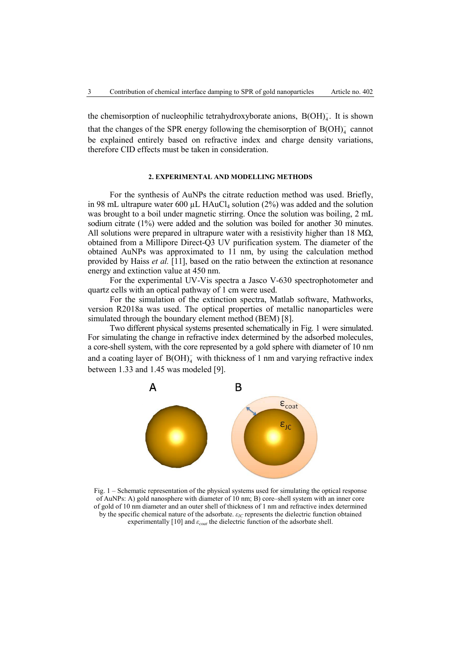the chemisorption of nucleophilic tetrahydroxyborate anions,  $B(OH)_4$ . It is shown that the changes of the SPR energy following the chemisorption of  $B(OH)_4^-$  cannot be explained entirely based on refractive index and charge density variations, therefore CID effects must be taken in consideration.

# **2. EXPERIMENTAL AND MODELLING METHODS**

For the synthesis of AuNPs the citrate reduction method was used. Briefly, in 98 mL ultrapure water 600  $\mu$ L HAuCl<sub>4</sub> solution (2%) was added and the solution was brought to a boil under magnetic stirring. Once the solution was boiling, 2 mL sodium citrate (1%) were added and the solution was boiled for another 30 minutes. All solutions were prepared in ultrapure water with a resistivity higher than 18 M $\Omega$ , obtained from a Millipore Direct-Q3 UV purification system. The diameter of the obtained AuNPs was approximated to 11 nm, by using the calculation method provided by Haiss *et al.* [11], based on the ratio between the extinction at resonance energy and extinction value at 450 nm.

For the experimental UV-Vis spectra a Jasco V-630 spectrophotometer and quartz cells with an optical pathway of 1 cm were used.

For the simulation of the extinction spectra, Matlab software, Mathworks, version R2018a was used. The optical properties of metallic nanoparticles were simulated through the boundary element method (BEM) [8].

Two different physical systems presented schematically in Fig. 1 were simulated. For simulating the change in refractive index determined by the adsorbed molecules, a core-shell system, with the core represented by a gold sphere with diameter of 10 nm and a coating layer of  $B(OH)^{-}_{4}$  with thickness of 1 nm and varying refractive index between 1.33 and 1.45 was modeled [9].



Fig. 1 – Schematic representation of the physical systems used for simulating the optical response of AuNPs: A) gold nanosphere with diameter of 10 nm; B) core–shell system with an inner core of gold of 10 nm diameter and an outer shell of thickness of 1 nm and refractive index determined by the specific chemical nature of the adsorbate. *εIC* represents the dielectric function obtained experimentally [10] and *εcoat* the dielectric function of the adsorbate shell.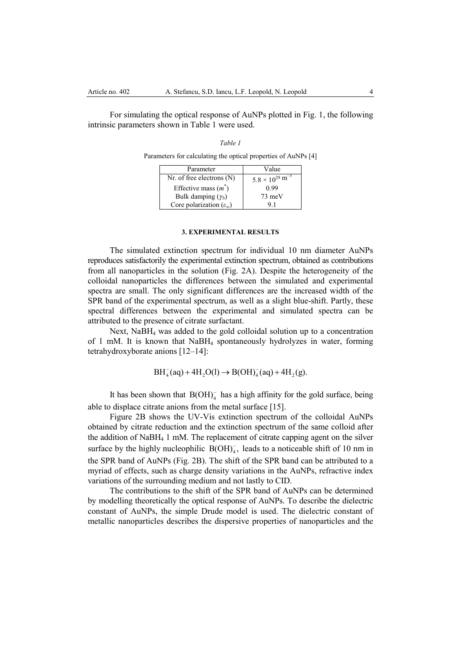For simulating the optical response of AuNPs plotted in Fig. 1, the following intrinsic parameters shown in Table 1 were used.

| Table 1                                                        |
|----------------------------------------------------------------|
| Parameters for calculating the optical properties of AuNPs [4] |

| Parameter                                  | Value                                |
|--------------------------------------------|--------------------------------------|
| $Nr.$ of free electrons $(N)$              | $5.8 \times 10^{29}$ m <sup>-3</sup> |
| Effective mass $(m3)$                      | 0.99                                 |
| Bulk damping $(\gamma_b)$                  | $73 \text{ meV}$                     |
| Core polarization $(\varepsilon_{\infty})$ |                                      |

## **3. EXPERIMENTAL RESULTS**

The simulated extinction spectrum for individual 10 nm diameter AuNPs reproduces satisfactorily the experimental extinction spectrum, obtained as contributions from all nanoparticles in the solution (Fig. 2A). Despite the heterogeneity of the colloidal nanoparticles the differences between the simulated and experimental spectra are small. The only significant differences are the increased width of the SPR band of the experimental spectrum, as well as a slight blue-shift. Partly, these spectral differences between the experimental and simulated spectra can be attributed to the presence of citrate surfactant.

Next, NaBH4 was added to the gold colloidal solution up to a concentration of 1 mM. It is known that NaBH4 spontaneously hydrolyzes in water, forming tetrahydroxyborate anions [12–14]:

$$
BH_{4}^{-}(aq) + 4H_{2}O(l) \rightarrow B(OH)_{4}^{-}(aq) + 4H_{2}(g).
$$

It has been shown that  $B(OH)_4^-$  has a high affinity for the gold surface, being able to displace citrate anions from the metal surface [15].

Figure 2B shows the UV-Vis extinction spectrum of the colloidal AuNPs obtained by citrate reduction and the extinction spectrum of the same colloid after the addition of NaBH4 1 mM. The replacement of citrate capping agent on the silver surface by the highly nucleophilic  $B(OH)_4^-$ , leads to a noticeable shift of 10 nm in the SPR band of AuNPs (Fig. 2B). The shift of the SPR band can be attributed to a myriad of effects, such as charge density variations in the AuNPs, refractive index variations of the surrounding medium and not lastly to CID.

The contributions to the shift of the SPR band of AuNPs can be determined by modelling theoretically the optical response of AuNPs. To describe the dielectric constant of AuNPs, the simple Drude model is used. The dielectric constant of metallic nanoparticles describes the dispersive properties of nanoparticles and the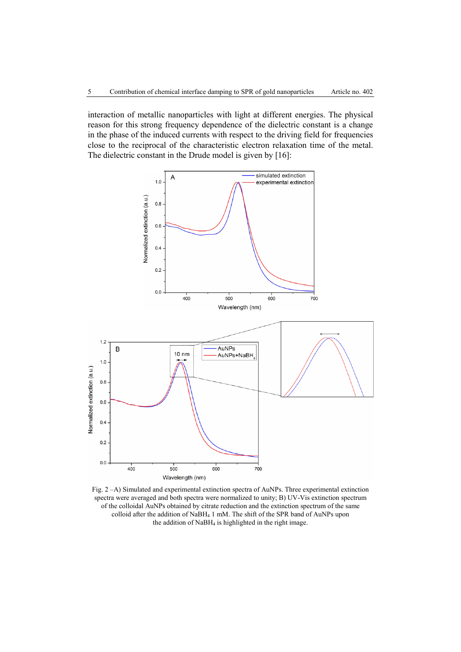interaction of metallic nanoparticles with light at different energies. The physical reason for this strong frequency dependence of the dielectric constant is a change in the phase of the induced currents with respect to the driving field for frequencies close to the reciprocal of the characteristic electron relaxation time of the metal. The dielectric constant in the Drude model is given by [16]:



Fig. 2 –A) Simulated and experimental extinction spectra of AuNPs. Three experimental extinction spectra were averaged and both spectra were normalized to unity; B) UV-Vis extinction spectrum of the colloidal AuNPs obtained by citrate reduction and the extinction spectrum of the same colloid after the addition of NaBH4 1 mM. The shift of the SPR band of AuNPs upon the addition of NaBH<sub>4</sub> is highlighted in the right image.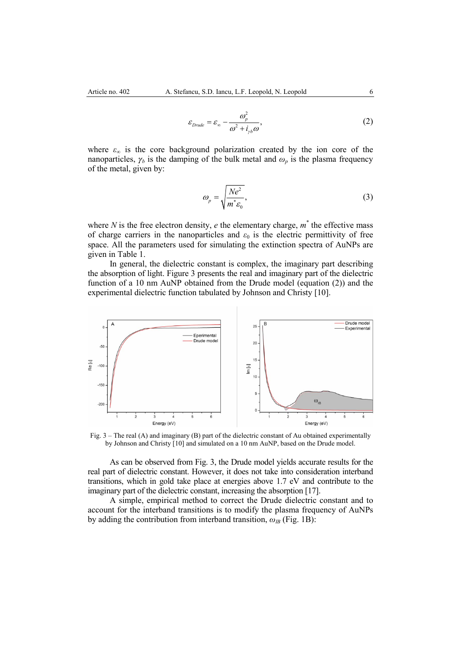$$
\varepsilon_{Drude} = \varepsilon_{\infty} - \frac{\omega_p^2}{\omega^2 + i_{\gamma b}\omega},
$$
\n(2)

where  $\varepsilon_{\infty}$  is the core background polarization created by the ion core of the nanoparticles,  $\gamma_b$  is the damping of the bulk metal and  $\omega_p$  is the plasma frequency of the metal, given by:

$$
\omega_p = \sqrt{\frac{Ne^2}{m^* \varepsilon_0}},\tag{3}
$$

where  $N$  is the free electron density,  $e$  the elementary charge,  $m^*$  the effective mass of charge carriers in the nanoparticles and  $\varepsilon_0$  is the electric permittivity of free space. All the parameters used for simulating the extinction spectra of AuNPs are given in Table 1.

In general, the dielectric constant is complex, the imaginary part describing the absorption of light. Figure 3 presents the real and imaginary part of the dielectric function of a 10 nm AuNP obtained from the Drude model (equation (2)) and the experimental dielectric function tabulated by Johnson and Christy [10].



Fig. 3 – The real (A) and imaginary (B) part of the dielectric constant of Au obtained experimentally by Johnson and Christy [10] and simulated on a 10 nm AuNP, based on the Drude model.

As can be observed from Fig. 3, the Drude model yields accurate results for the real part of dielectric constant. However, it does not take into consideration interband transitions, which in gold take place at energies above 1.7 eV and contribute to the imaginary part of the dielectric constant, increasing the absorption [17].

A simple, empirical method to correct the Drude dielectric constant and to account for the interband transitions is to modify the plasma frequency of AuNPs by adding the contribution from interband transition, *ωIB* (Fig. 1B):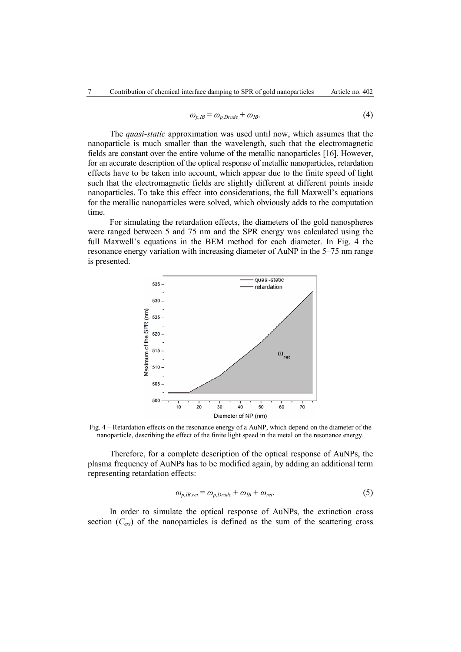$$
\omega_{p,IB} = \omega_{p,Drude} + \omega_{IB}.\tag{4}
$$

The *quasi-static* approximation was used until now, which assumes that the nanoparticle is much smaller than the wavelength, such that the electromagnetic fields are constant over the entire volume of the metallic nanoparticles [16]. However, for an accurate description of the optical response of metallic nanoparticles, retardation effects have to be taken into account, which appear due to the finite speed of light such that the electromagnetic fields are slightly different at different points inside nanoparticles. To take this effect into considerations, the full Maxwell's equations for the metallic nanoparticles were solved, which obviously adds to the computation time.

For simulating the retardation effects, the diameters of the gold nanospheres were ranged between 5 and 75 nm and the SPR energy was calculated using the full Maxwell's equations in the BEM method for each diameter. In Fig. 4 the resonance energy variation with increasing diameter of AuNP in the 5–75 nm range is presented.



Fig. 4 – Retardation effects on the resonance energy of a AuNP, which depend on the diameter of the nanoparticle, describing the effect of the finite light speed in the metal on the resonance energy.

Therefore, for a complete description of the optical response of AuNPs, the plasma frequency of AuNPs has to be modified again, by adding an additional term representing retardation effects:

$$
\omega_{p,IB,ret} = \omega_{p,Drude} + \omega_{IB} + \omega_{ret}.\tag{5}
$$

In order to simulate the optical response of AuNPs, the extinction cross section  $(C_{ext})$  of the nanoparticles is defined as the sum of the scattering cross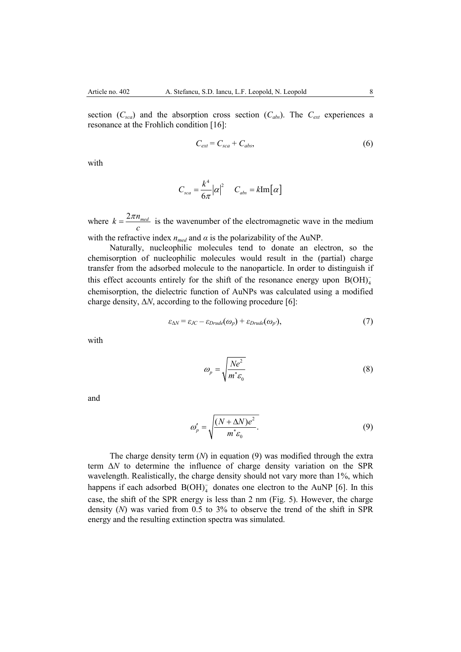section  $(C_{sea})$  and the absorption cross section  $(C_{abs})$ . The  $C_{ext}$  experiences a resonance at the Frohlich condition [16]:

$$
C_{ext} = C_{sca} + C_{abs},\tag{6}
$$

with

$$
C_{sca} = \frac{k^4}{6\pi} |\alpha|^2 \qquad C_{abs} = k \text{Im}[\alpha]
$$

where  $k = \frac{2\pi n_{\text{med}}}{a}$ *c*  $=\frac{2\pi n_{\text{med}}}{n}$  is the wavenumber of the electromagnetic wave in the medium

with the refractive index  $n_{med}$  and  $\alpha$  is the polarizability of the AuNP.

Naturally, nucleophilic molecules tend to donate an electron, so the chemisorption of nucleophilic molecules would result in the (partial) charge transfer from the adsorbed molecule to the nanoparticle. In order to distinguish if this effect accounts entirely for the shift of the resonance energy upon  $B(OH)_4$ chemisorption, the dielectric function of AuNPs was calculated using a modified charge density, Δ*N*, according to the following procedure [6]:

$$
\varepsilon_{\Delta N} = \varepsilon_{JC} - \varepsilon_{Drude}(\omega_p) + \varepsilon_{Drude}(\omega_{p'}),\tag{7}
$$

with

$$
\omega_p = \sqrt{\frac{Ne^2}{m^* \varepsilon_0}}\tag{8}
$$

and

$$
\omega_p' = \sqrt{\frac{(N + \Delta N)e^2}{m^* \varepsilon_0}}.
$$
\n(9)

The charge density term (*N*) in equation (9) was modified through the extra term Δ*N* to determine the influence of charge density variation on the SPR wavelength. Realistically, the charge density should not vary more than 1%, which happens if each adsorbed  $B(OH)^{-}_{4}$  donates one electron to the AuNP [6]. In this case, the shift of the SPR energy is less than 2 nm (Fig. 5). However, the charge density (*N*) was varied from 0.5 to 3% to observe the trend of the shift in SPR energy and the resulting extinction spectra was simulated.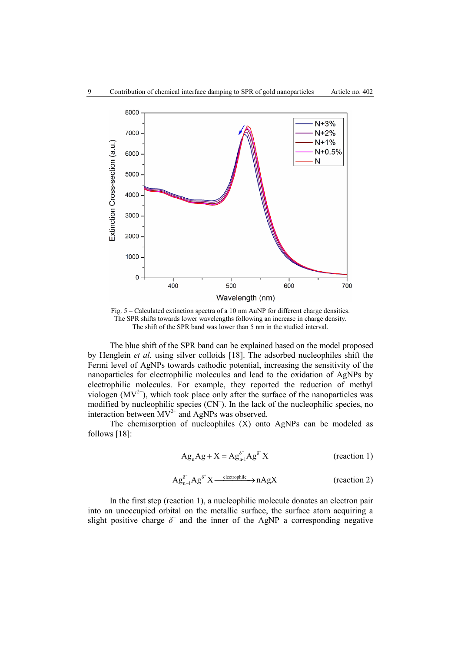

Fig. 5 – Calculated extinction spectra of a 10 nm AuNP for different charge densities. The SPR shifts towards lower wavelengths following an increase in charge density. The shift of the SPR band was lower than 5 nm in the studied interval.

The blue shift of the SPR band can be explained based on the model proposed by Henglein *et al.* using silver colloids [18]. The adsorbed nucleophiles shift the Fermi level of AgNPs towards cathodic potential, increasing the sensitivity of the nanoparticles for electrophilic molecules and lead to the oxidation of AgNPs by electrophilic molecules. For example, they reported the reduction of methyl viologen  $(MV^{2+})$ , which took place only after the surface of the nanoparticles was modified by nucleophilic species (CN– ). In the lack of the nucleophilic species, no interaction between  $MV^{2+}$  and AgNPs was observed.

The chemisorption of nucleophiles (X) onto AgNPs can be modeled as follows [18]:

$$
Ag_nAg + X = Ag_{n-1}^{\delta^-}Ag^{\delta^-}X \qquad \text{(reaction 1)}
$$

$$
Ag_{n-1}^{\delta^-}Ag^{\delta^+}X \xrightarrow{\text{electrophic}} nAgX \qquad \qquad \text{(reaction 2)}
$$

In the first step (reaction 1), a nucleophilic molecule donates an electron pair into an unoccupied orbital on the metallic surface, the surface atom acquiring a slight positive charge  $\delta^+$  and the inner of the AgNP a corresponding negative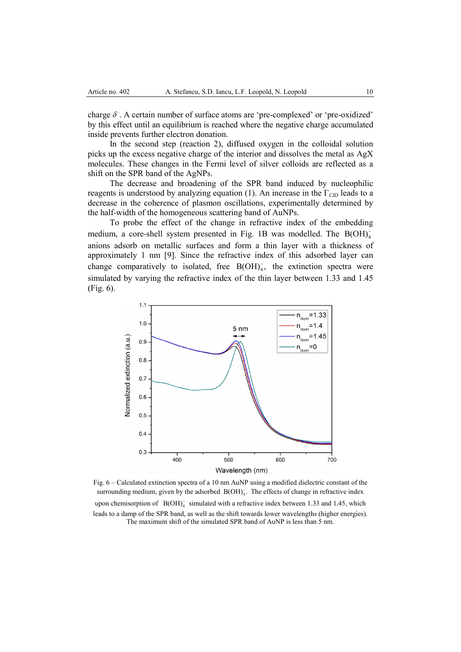charge  $\delta$ . A certain number of surface atoms are 'pre-complexed' or 'pre-oxidized' by this effect until an equilibrium is reached where the negative charge accumulated inside prevents further electron donation.

In the second step (reaction 2), diffused oxygen in the colloidal solution picks up the excess negative charge of the interior and dissolves the metal as AgX molecules. These changes in the Fermi level of silver colloids are reflected as a shift on the SPR band of the AgNPs.

The decrease and broadening of the SPR band induced by nucleophilic reagents is understood by analyzing equation (1). An increase in the Γ*CID* leads to a decrease in the coherence of plasmon oscillations, experimentally determined by the half-width of the homogeneous scattering band of AuNPs.

To probe the effect of the change in refractive index of the embedding medium, a core-shell system presented in Fig. 1B was modelled. The B(OH)<sub>4</sub> anions adsorb on metallic surfaces and form a thin layer with a thickness of approximately 1 nm [9]. Since the refractive index of this adsorbed layer can change comparatively to isolated, free  $B(OH)_4^-$ , the extinction spectra were simulated by varying the refractive index of the thin layer between 1.33 and 1.45 (Fig. 6).



Fig. 6 – Calculated extinction spectra of a 10 nm AuNP using a modified dielectric constant of the surrounding medium, given by the adsorbed  $B(OH)_4$ . The effects of change in refractive index upon chemisorption of  $B(OH)<sub>4</sub>$  simulated with a refractive index between 1.33 and 1.45, which leads to a damp of the SPR band, as well as the shift towards lower wavelengths (higher energies). The maximum shift of the simulated SPR band of AuNP is less than 5 nm.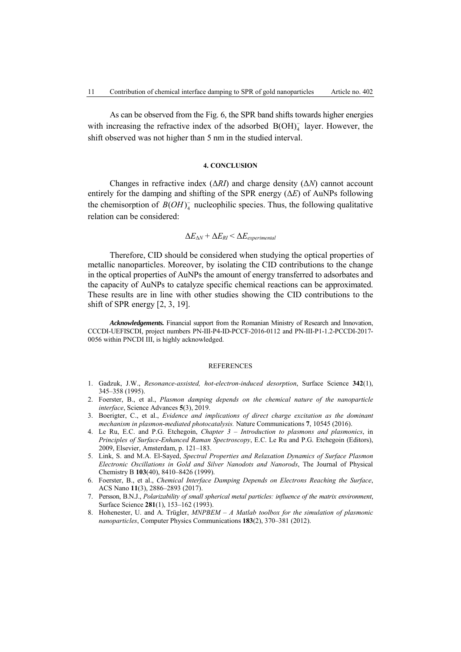As can be observed from the Fig. 6, the SPR band shifts towards higher energies with increasing the refractive index of the adsorbed  $B(OH)<sub>4</sub>$  layer. However, the shift observed was not higher than 5 nm in the studied interval.

# **4. CONCLUSION**

Changes in refractive index (Δ*RI*) and charge density (Δ*N*) cannot account entirely for the damping and shifting of the SPR energy (Δ*E*) of AuNPs following the chemisorption of  $B(OH)_4^-$  nucleophilic species. Thus, the following qualitative relation can be considered:

$$
\Delta E_{\Delta N} + \Delta E_{RI} < \Delta E_{experimental}
$$

Therefore, CID should be considered when studying the optical properties of metallic nanoparticles. Moreover, by isolating the CID contributions to the change in the optical properties of AuNPs the amount of energy transferred to adsorbates and the capacity of AuNPs to catalyze specific chemical reactions can be approximated. These results are in line with other studies showing the CID contributions to the shift of SPR energy [2, 3, 19].

*Acknowledgements.* Financial support from the Romanian Ministry of Research and Innovation, CCCDI-UEFISCDI, project numbers PN-III-P4-ID-PCCF-2016-0112 and PN-III-P1-1.2-PCCDI-2017- 0056 within PNCDI III, is highly acknowledged.

## **REFERENCES**

- 1. Gadzuk, J.W., *Resonance-assisted, hot-electron-induced desorption*, Surface Science **342**(1), 345–358 (1995).
- 2. Foerster, B., et al., *Plasmon damping depends on the chemical nature of the nanoparticle interface*, Science Advances **5**(3), 2019.
- 3. Boerigter, C., et al., *Evidence and implications of direct charge excitation as the dominant mechanism in plasmon-mediated photocatalysis.* Nature Communications **7**, 10545 (2016).
- 4. Le Ru, E.C. and P.G. Etchegoin, *Chapter 3 Introduction to plasmons and plasmonics*, in *Principles of Surface-Enhanced Raman Spectroscopy*, E.C. Le Ru and P.G. Etchegoin (Editors), 2009, Elsevier, Amsterdam, p. 121–183.
- 5. Link, S. and M.A. El-Sayed, *Spectral Properties and Relaxation Dynamics of Surface Plasmon Electronic Oscillations in Gold and Silver Nanodots and Nanorods*, The Journal of Physical Chemistry B **103**(40), 8410–8426 (1999).
- 6. Foerster, B., et al., *Chemical Interface Damping Depends on Electrons Reaching the Surface*, ACS Nano **11**(3), 2886–2893 (2017).
- 7. Persson, B.N.J., *Polarizability of small spherical metal particles: influence of the matrix environment*, Surface Science **281**(1), 153–162 (1993).
- 8. Hohenester, U. and A. Trügler, *MNPBEM A Matlab toolbox for the simulation of plasmonic nanoparticles*, Computer Physics Communications **183**(2), 370–381 (2012).